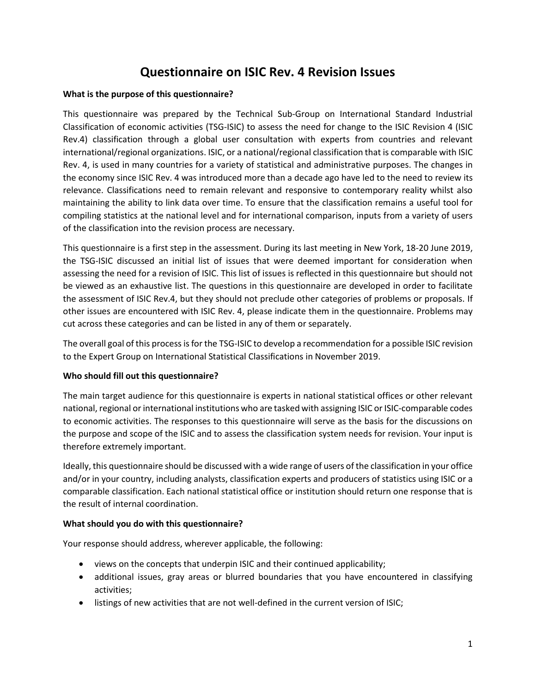# **Questionnaire on ISIC Rev. 4 Revision Issues**

### **What is the purpose of this questionnaire?**

This questionnaire was prepared by the Technical Sub-Group on International Standard Industrial Classification of economic activities (TSG-ISIC) to assess the need for change to the ISIC Revision 4 (ISIC Rev.4) classification through a global user consultation with experts from countries and relevant international/regional organizations. ISIC, or a national/regional classification that is comparable with ISIC Rev. 4, is used in many countries for a variety of statistical and administrative purposes. The changes in the economy since ISIC Rev. 4 was introduced more than a decade ago have led to the need to review its relevance. Classifications need to remain relevant and responsive to contemporary reality whilst also maintaining the ability to link data over time. To ensure that the classification remains a useful tool for compiling statistics at the national level and for international comparison, inputs from a variety of users of the classification into the revision process are necessary.

This questionnaire is a first step in the assessment. During its last meeting in New York, 18-20 June 2019, the TSG-ISIC discussed an initial list of issues that were deemed important for consideration when assessing the need for a revision of ISIC. This list of issues is reflected in this questionnaire but should not be viewed as an exhaustive list. The questions in this questionnaire are developed in order to facilitate the assessment of ISIC Rev.4, but they should not preclude other categories of problems or proposals. If other issues are encountered with ISIC Rev. 4, please indicate them in the questionnaire. Problems may cut across these categories and can be listed in any of them or separately.

The overall goal of this process is for the TSG-ISIC to develop a recommendation for a possible ISIC revision to the Expert Group on International Statistical Classifications in November 2019.

### **Who should fill out this questionnaire?**

The main target audience for this questionnaire is experts in national statistical offices or other relevant national, regional or international institutions who are tasked with assigning ISIC or ISIC-comparable codes to economic activities. The responses to this questionnaire will serve as the basis for the discussions on the purpose and scope of the ISIC and to assess the classification system needs for revision. Your input is therefore extremely important.

Ideally, this questionnaire should be discussed with a wide range of users of the classification in your office and/or in your country, including analysts, classification experts and producers of statistics using ISIC or a comparable classification. Each national statistical office or institution should return one response that is the result of internal coordination.

### **What should you do with this questionnaire?**

Your response should address, wherever applicable, the following:

- views on the concepts that underpin ISIC and their continued applicability;
- additional issues, gray areas or blurred boundaries that you have encountered in classifying activities;
- listings of new activities that are not well-defined in the current version of ISIC;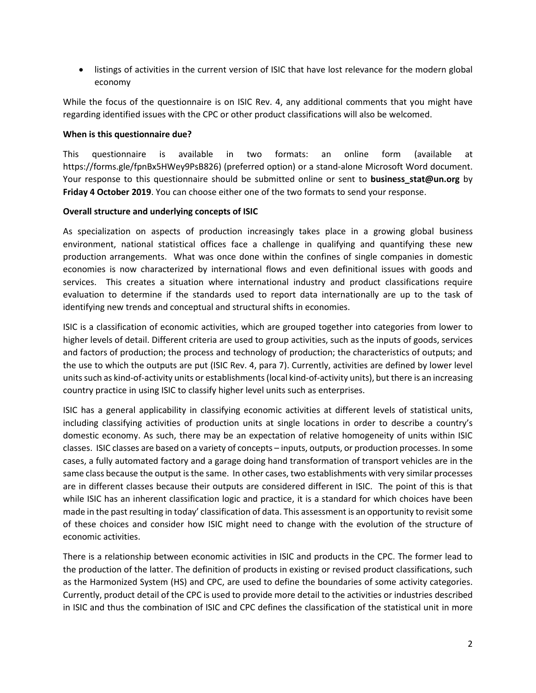listings of activities in the current version of ISIC that have lost relevance for the modern global economy

While the focus of the questionnaire is on ISIC Rev. 4, any additional comments that you might have regarding identified issues with the CPC or other product classifications will also be welcomed.

### **When is this questionnaire due?**

This questionnaire is available in two formats: an online form (available at https://forms.gle/fpnBx5HWey9PsB826) (preferred option) or a stand-alone Microsoft Word document. Your response to this questionnaire should be submitted online or sent to **business stat@un.org** by **Friday 4 October 2019**. You can choose either one of the two formats to send your response.

### **Overall structure and underlying concepts of ISIC**

As specialization on aspects of production increasingly takes place in a growing global business environment, national statistical offices face a challenge in qualifying and quantifying these new production arrangements. What was once done within the confines of single companies in domestic economies is now characterized by international flows and even definitional issues with goods and services. This creates a situation where international industry and product classifications require evaluation to determine if the standards used to report data internationally are up to the task of identifying new trends and conceptual and structural shifts in economies.

ISIC is a classification of economic activities, which are grouped together into categories from lower to higher levels of detail. Different criteria are used to group activities, such as the inputs of goods, services and factors of production; the process and technology of production; the characteristics of outputs; and the use to which the outputs are put (ISIC Rev. 4, para 7). Currently, activities are defined by lower level units such as kind-of-activity units or establishments (local kind-of-activity units), but there is an increasing country practice in using ISIC to classify higher level units such as enterprises.

ISIC has a general applicability in classifying economic activities at different levels of statistical units, including classifying activities of production units at single locations in order to describe a country's domestic economy. As such, there may be an expectation of relative homogeneity of units within ISIC classes. ISIC classes are based on a variety of concepts – inputs, outputs, or production processes. In some cases, a fully automated factory and a garage doing hand transformation of transport vehicles are in the same class because the output is the same. In other cases, two establishments with very similar processes are in different classes because their outputs are considered different in ISIC. The point of this is that while ISIC has an inherent classification logic and practice, it is a standard for which choices have been made in the past resulting in today' classification of data. This assessment is an opportunity to revisit some of these choices and consider how ISIC might need to change with the evolution of the structure of economic activities.

There is a relationship between economic activities in ISIC and products in the CPC. The former lead to the production of the latter. The definition of products in existing or revised product classifications, such as the Harmonized System (HS) and CPC, are used to define the boundaries of some activity categories. Currently, product detail of the CPC is used to provide more detail to the activities or industries described in ISIC and thus the combination of ISIC and CPC defines the classification of the statistical unit in more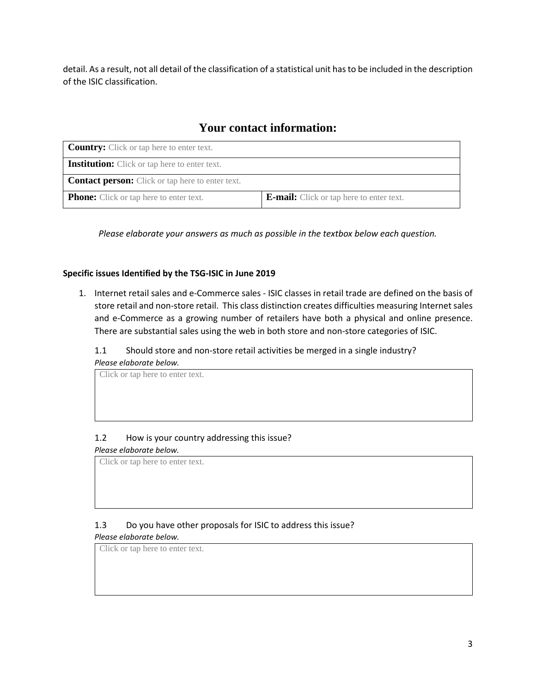detail. As a result, not all detail of the classification of a statistical unit has to be included in the description of the ISIC classification.

# **Your contact information:**

| <b>Country:</b> Click or tap here to enter text.        |                                                 |
|---------------------------------------------------------|-------------------------------------------------|
| <b>Institution:</b> Click or tap here to enter text.    |                                                 |
| <b>Contact person:</b> Click or tap here to enter text. |                                                 |
| <b>Phone:</b> Click or tap here to enter text.          | <b>E-mail:</b> Click or tap here to enter text. |

*Please elaborate your answers as much as possible in the textbox below each question.*

### **Specific issues Identified by the TSG-ISIC in June 2019**

1. Internet retail sales and e-Commerce sales - ISIC classes in retail trade are defined on the basis of store retail and non-store retail. This class distinction creates difficulties measuring Internet sales and e-Commerce as a growing number of retailers have both a physical and online presence. There are substantial sales using the web in both store and non-store categories of ISIC.

### 1.1 Should store and non-store retail activities be merged in a single industry? *Please elaborate below.*

Click or tap here to enter text.

## 1.2 How is your country addressing this issue?

*Please elaborate below.*

Click or tap here to enter text.

## 1.3 Do you have other proposals for ISIC to address this issue?

### *Please elaborate below.*

Click or tap here to enter text.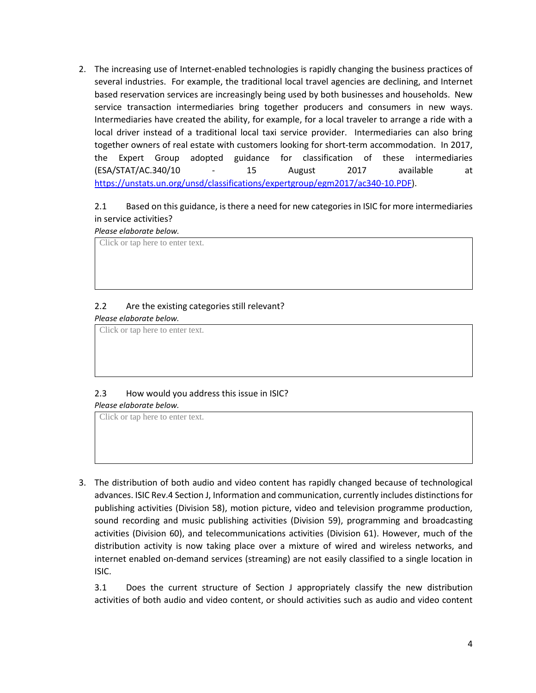2. The increasing use of Internet-enabled technologies is rapidly changing the business practices of several industries. For example, the traditional local travel agencies are declining, and Internet based reservation services are increasingly being used by both businesses and households. New service transaction intermediaries bring together producers and consumers in new ways. Intermediaries have created the ability, for example, for a local traveler to arrange a ride with a local driver instead of a traditional local taxi service provider. Intermediaries can also bring together owners of real estate with customers looking for short-term accommodation. In 2017, the Expert Group adopted guidance for classification of these intermediaries (ESA/STAT/AC.340/10 - 15 August 2017 available at [https://unstats.un.org/unsd/classifications/expertgroup/egm2017/ac340-10.PDF\)](https://unstats.un.org/unsd/classifications/expertgroup/egm2017/ac340-10.PDF).

## 2.1 Based on this guidance, is there a need for new categories in ISIC for more intermediaries in service activities?

#### *Please elaborate below.*

Click or tap here to enter text.

### 2.2 Are the existing categories still relevant?

*Please elaborate below.*

Click or tap here to enter text.

## 2.3 How would you address this issue in ISIC?

#### *Please elaborate below.*

Click or tap here to enter text.

3. The distribution of both audio and video content has rapidly changed because of technological advances. ISIC Rev.4 Section J, Information and communication, currently includes distinctions for publishing activities (Division 58), motion picture, video and television programme production, sound recording and music publishing activities (Division 59), programming and broadcasting activities (Division 60), and telecommunications activities (Division 61). However, much of the distribution activity is now taking place over a mixture of wired and wireless networks, and internet enabled on-demand services (streaming) are not easily classified to a single location in ISIC.

3.1 Does the current structure of Section J appropriately classify the new distribution activities of both audio and video content, or should activities such as audio and video content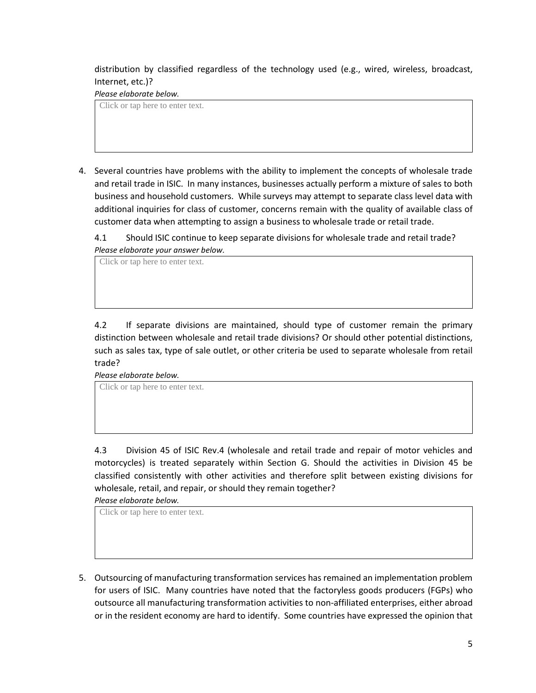distribution by classified regardless of the technology used (e.g., wired, wireless, broadcast, Internet, etc.)?

*Please elaborate below.*

Click or tap here to enter text.

4. Several countries have problems with the ability to implement the concepts of wholesale trade and retail trade in ISIC. In many instances, businesses actually perform a mixture of sales to both business and household customers. While surveys may attempt to separate class level data with additional inquiries for class of customer, concerns remain with the quality of available class of customer data when attempting to assign a business to wholesale trade or retail trade.

4.1 Should ISIC continue to keep separate divisions for wholesale trade and retail trade? *Please elaborate your answer below.*

Click or tap here to enter text.

4.2 If separate divisions are maintained, should type of customer remain the primary distinction between wholesale and retail trade divisions? Or should other potential distinctions, such as sales tax, type of sale outlet, or other criteria be used to separate wholesale from retail trade?

*Please elaborate below.* Click or tap here to enter text.

4.3 Division 45 of ISIC Rev.4 (wholesale and retail trade and repair of motor vehicles and motorcycles) is treated separately within Section G. Should the activities in Division 45 be classified consistently with other activities and therefore split between existing divisions for wholesale, retail, and repair, or should they remain together?

*Please elaborate below.*

Click or tap here to enter text.

5. Outsourcing of manufacturing transformation services has remained an implementation problem for users of ISIC. Many countries have noted that the factoryless goods producers (FGPs) who outsource all manufacturing transformation activities to non-affiliated enterprises, either abroad or in the resident economy are hard to identify. Some countries have expressed the opinion that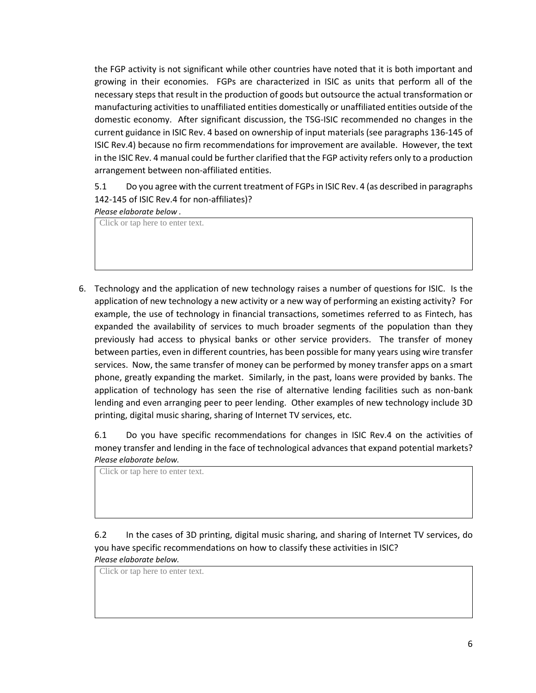the FGP activity is not significant while other countries have noted that it is both important and growing in their economies. FGPs are characterized in ISIC as units that perform all of the necessary steps that result in the production of goods but outsource the actual transformation or manufacturing activities to unaffiliated entities domestically or unaffiliated entities outside of the domestic economy. After significant discussion, the TSG-ISIC recommended no changes in the current guidance in ISIC Rev. 4 based on ownership of input materials (see paragraphs 136-145 of ISIC Rev.4) because no firm recommendations for improvement are available. However, the text in the ISIC Rev. 4 manual could be further clarified that the FGP activity refers only to a production arrangement between non-affiliated entities.

5.1 Do you agree with the current treatment of FGPs in ISIC Rev. 4 (as described in paragraphs 142-145 of ISIC Rev.4 for non-affiliates)?

### *Please elaborate below .*

Click or tap here to enter text.

6. Technology and the application of new technology raises a number of questions for ISIC. Is the application of new technology a new activity or a new way of performing an existing activity? For example, the use of technology in financial transactions, sometimes referred to as Fintech, has expanded the availability of services to much broader segments of the population than they previously had access to physical banks or other service providers. The transfer of money between parties, even in different countries, has been possible for many years using wire transfer services. Now, the same transfer of money can be performed by money transfer apps on a smart phone, greatly expanding the market. Similarly, in the past, loans were provided by banks. The application of technology has seen the rise of alternative lending facilities such as non-bank lending and even arranging peer to peer lending. Other examples of new technology include 3D printing, digital music sharing, sharing of Internet TV services, etc.

6.1 Do you have specific recommendations for changes in ISIC Rev.4 on the activities of money transfer and lending in the face of technological advances that expand potential markets? *Please elaborate below.*

Click or tap here to enter text.

6.2 In the cases of 3D printing, digital music sharing, and sharing of Internet TV services, do you have specific recommendations on how to classify these activities in ISIC? *Please elaborate below.*

Click or tap here to enter text.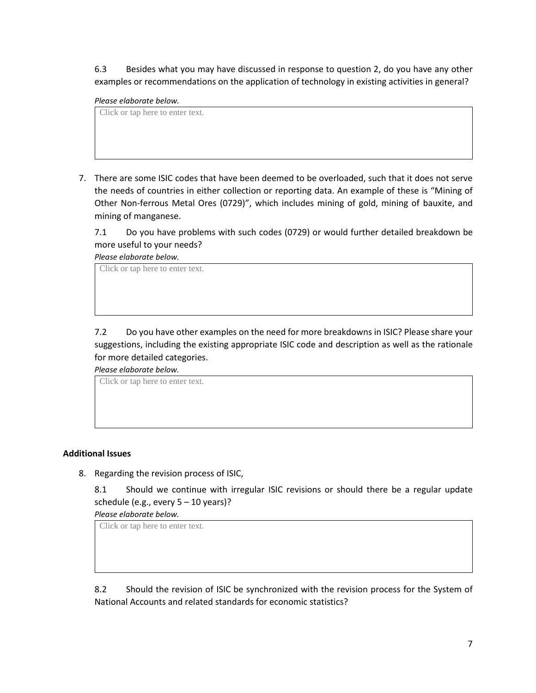6.3 Besides what you may have discussed in response to question 2, do you have any other examples or recommendations on the application of technology in existing activities in general?

### *Please elaborate below.*

Click or tap here to enter text.

7. There are some ISIC codes that have been deemed to be overloaded, such that it does not serve the needs of countries in either collection or reporting data. An example of these is "Mining of Other Non-ferrous Metal Ores (0729)", which includes mining of gold, mining of bauxite, and mining of manganese.

7.1 Do you have problems with such codes (0729) or would further detailed breakdown be more useful to your needs?

*Please elaborate below.* Click or tap here to enter text.

7.2 Do you have other examples on the need for more breakdowns in ISIC? Please share your suggestions, including the existing appropriate ISIC code and description as well as the rationale for more detailed categories.

*Please elaborate below.*

Click or tap here to enter text.

### **Additional Issues**

8. Regarding the revision process of ISIC,

8.1 Should we continue with irregular ISIC revisions or should there be a regular update schedule (e.g., every  $5 - 10$  years)?

*Please elaborate below.*

Click or tap here to enter text.

8.2 Should the revision of ISIC be synchronized with the revision process for the System of National Accounts and related standards for economic statistics?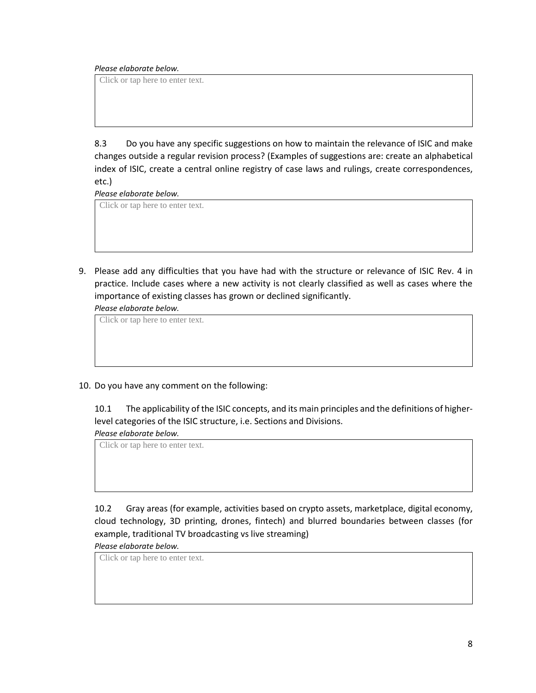*Please elaborate below.*

Click or tap here to enter text.

8.3 Do you have any specific suggestions on how to maintain the relevance of ISIC and make changes outside a regular revision process? (Examples of suggestions are: create an alphabetical index of ISIC, create a central online registry of case laws and rulings, create correspondences, etc.)

*Please elaborate below.*

Click or tap here to enter text.

9. Please add any difficulties that you have had with the structure or relevance of ISIC Rev. 4 in practice. Include cases where a new activity is not clearly classified as well as cases where the importance of existing classes has grown or declined significantly.

*Please elaborate below.*

Click or tap here to enter text.

10. Do you have any comment on the following:

10.1 The applicability of the ISIC concepts, and its main principles and the definitions of higherlevel categories of the ISIC structure, i.e. Sections and Divisions.

*Please elaborate below.*

Click or tap here to enter text.

10.2 Gray areas (for example, activities based on crypto assets, marketplace, digital economy, cloud technology, 3D printing, drones, fintech) and blurred boundaries between classes (for example, traditional TV broadcasting vs live streaming)

*Please elaborate below.*

Click or tap here to enter text.